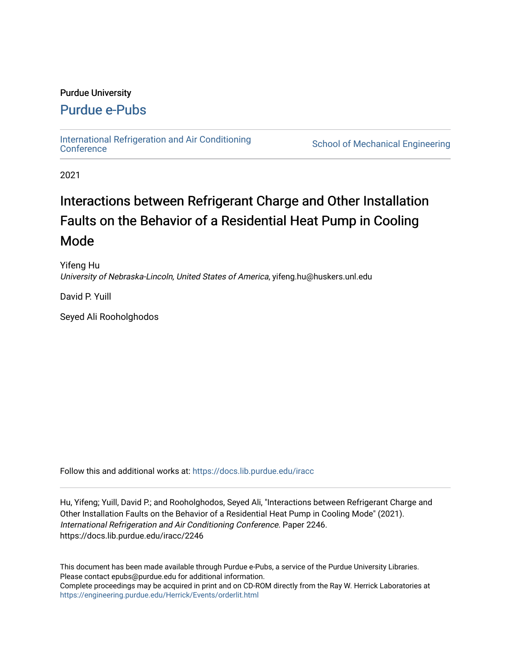# Purdue University

# [Purdue e-Pubs](https://docs.lib.purdue.edu/)

[International Refrigeration and Air Conditioning](https://docs.lib.purdue.edu/iracc) 

School of Mechanical Engineering

2021

# Interactions between Refrigerant Charge and Other Installation Faults on the Behavior of a Residential Heat Pump in Cooling Mode

Yifeng Hu University of Nebraska-Lincoln, United States of America, yifeng.hu@huskers.unl.edu

David P. Yuill

Seyed Ali Rooholghodos

Follow this and additional works at: [https://docs.lib.purdue.edu/iracc](https://docs.lib.purdue.edu/iracc?utm_source=docs.lib.purdue.edu%2Firacc%2F2246&utm_medium=PDF&utm_campaign=PDFCoverPages)

Hu, Yifeng; Yuill, David P.; and Rooholghodos, Seyed Ali, "Interactions between Refrigerant Charge and Other Installation Faults on the Behavior of a Residential Heat Pump in Cooling Mode" (2021). International Refrigeration and Air Conditioning Conference. Paper 2246. https://docs.lib.purdue.edu/iracc/2246

This document has been made available through Purdue e-Pubs, a service of the Purdue University Libraries. Please contact epubs@purdue.edu for additional information. Complete proceedings may be acquired in print and on CD-ROM directly from the Ray W. Herrick Laboratories at <https://engineering.purdue.edu/Herrick/Events/orderlit.html>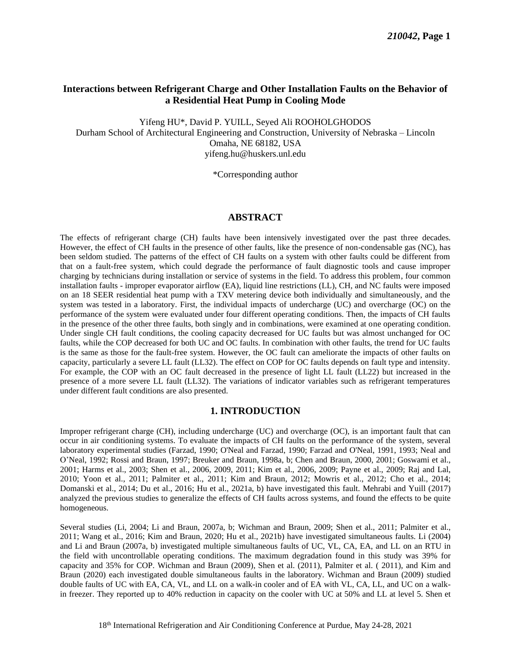# **Interactions between Refrigerant Charge and Other Installation Faults on the Behavior of a Residential Heat Pump in Cooling Mode**

Yifeng HU\*, David P. YUILL, Seyed Ali ROOHOLGHODOS Durham School of Architectural Engineering and Construction, University of Nebraska – Lincoln Omaha, NE 68182, USA [yifeng.hu@huskers.unl.edu](mailto:yifeng.hu@huskers.unl.edu) 

\*Corresponding author

#### **ABSTRACT**

 The effects of refrigerant charge (CH) faults have been intensively investigated over the past three decades. However, the effect of CH faults in the presence of other faults, like the presence of non-condensable gas (NC), has been seldom studied. The patterns of the effect of CH faults on a system with other faults could be different from that on a fault-free system, which could degrade the performance of fault diagnostic tools and cause improper charging by technicians during installation or service of systems in the field. To address this problem, four common installation faults - improper evaporator airflow (EA), liquid line restrictions (LL), CH, and NC faults were imposed on an 18 SEER residential heat pump with a TXV metering device both individually and simultaneously, and the system was tested in a laboratory. First, the individual impacts of undercharge (UC) and overcharge (OC) on the performance of the system were evaluated under four different operating conditions. Then, the impacts of CH faults in the presence of the other three faults, both singly and in combinations, were examined at one operating condition. Under single CH fault conditions, the cooling capacity decreased for UC faults but was almost unchanged for OC faults, while the COP decreased for both UC and OC faults. In combination with other faults, the trend for UC faults is the same as those for the fault-free system. However, the OC fault can ameliorate the impacts of other faults on capacity, particularly a severe LL fault (LL32). The effect on COP for OC faults depends on fault type and intensity. For example, the COP with an OC fault decreased in the presence of light LL fault (LL22) but increased in the presence of a more severe LL fault (LL32). The variations of indicator variables such as refrigerant temperatures under different fault conditions are also presented.

#### **1. INTRODUCTION**

 Improper refrigerant charge (CH), including undercharge (UC) and overcharge (OC), is an important fault that can occur in air conditioning systems. To evaluate the impacts of CH faults on the performance of the system, several laboratory experimental studies [\(Farzad, 1990;](#page-9-0) [O'Neal and Farzad, 1990;](#page-10-0) [Farzad and O'Neal, 1991,](#page-9-1) [1993;](#page-9-2) [Neal and](#page-10-1)  [O'Neal, 1992;](#page-10-1) [Rossi and Braun, 1997;](#page-10-2) [Breuker and Braun, 1998a,](#page-9-3) [b;](#page-9-4) [Chen and Braun, 2000,](#page-9-5) [2001;](#page-9-6) [Goswami et al.,](#page-9-7)  [2001;](#page-9-7) [Harms et al., 2003;](#page-9-8) [Shen et al., 2006,](#page-10-2) [2009,](#page-10-3) [2011;](#page-10-4) [Kim et al., 2006,](#page-9-9) [2009;](#page-10-5) [Payne et al., 2009; Raj and Lal,](#page-10-6)  [2010;](#page-10-6) [Yoon et al., 2011;](#page-10-7) [Palmiter et al., 2011;](#page-10-8) [Kim and Braun, 2012;](#page-10-9) [Mowris et al., 2012;](#page-10-10) [Cho et al., 2014;](#page-9-10) [Domanski et al., 2014;](#page-9-11) [Du et al., 2016;](#page-9-12) [Hu et al., 2021a,](#page-9-9) [b\)](#page-9-13) have investigated this fault. Mehrabi and Yuill [\(2017\)](#page-10-9) analyzed the previous studies to generalize the effects of CH faults across systems, and found the effects to be quite homogeneous.

 Several studies (Li, 2004; Li and Braun, 2007a, b; Wichman and Braun, 2009; [Shen et al., 2011;](#page-10-4) [Palmiter et al.,](#page-10-8)  [2011;](#page-10-8) Wang et al., 2016; Kim and Braun, 2020; [Hu et al., 2021b\)](#page-9-13) have investigated simultaneous faults. Li (2004) and Li and Braun (2007a, b) investigated multiple simultaneous faults of UC, VL, CA, EA, and LL on an RTU in the field with uncontrollable operating conditions. The maximum degradation found in this study was 39% for capacity and 35% for COP. Wichman and Braun (2009), Shen et al. (2011), Palmiter et al. ( 2011), and Kim and Braun (2020) each investigated double simultaneous faults in the laboratory. Wichman and Braun (2009) studied double faults of UC with EA, CA, VL, and LL on a walk-in cooler and of EA with VL, CA, LL, and UC on a walk-in freezer. They reported up to 40% reduction in capacity on the cooler with UC at 50% and LL at level 5. Shen et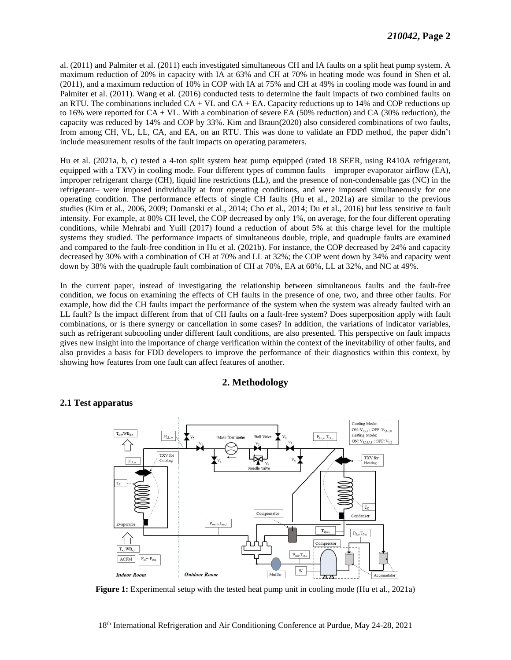al. [\(2011\)](#page-10-4) and Palmiter et al. [\(2011\)](#page-10-8) each investigated simultaneous CH and IA faults on a split heat pump system. A [\(2011\)](#page-10-4), and a maximum reduction of 10% in COP with IA at 75% and CH at 49% in cooling mode was found in and Palmiter et al. [\(2011\)](#page-10-8). Wang et al. (2016) conducted tests to determine the fault impacts of two combined faults on an RTU. The combinations included  $CA + VL$  and  $CA + EA$ . Capacity reductions up to 14% and COP reductions up to 16% were reported for CA + VL. With a combination of severe EA (50% reduction) and CA (30% reduction), the capacity was reduced by 14% and COP by 33%. Kim and Braun(2020) also considered combinations of two faults, from among CH, VL, LL, CA, and EA, on an RTU. This was done to validate an FDD method, the paper didn't maximum reduction of 20% in capacity with IA at 63% and CH at 70% in heating mode was found in Shen et al. include measurement results of the fault impacts on operating parameters.

 equipped with a TXV) in cooling mode. Four different types of common faults – improper evaporator airflow (EA), improper refrigerant charge (CH), liquid line restrictions (LL), and the presence of non-condensable gas (NC) in the refrigerant– were imposed individually at four operating conditions, and were imposed simultaneously for one intensity. For example, at 80% CH level, the COP decreased by only 1%, on average, for the four different operating conditions, while Mehrabi and Yuill [\(2017\)](#page-10-9) found a reduction of about 5% at this charge level for the multiple systems they studied. The performance impacts of simultaneous double, triple, and quadruple faults are examined and compared to the fault-free condition in Hu et al. [\(2021b\)](#page-9-13). For instance, the COP decreased by 24% and capacity decreased by 30% with a combination of CH at 70% and LL at 32%; the COP went down by 34% and capacity went down by 38% with the quadruple fault combination of CH at 70%, EA at 60%, LL at 32%, and NC at 49%. [Hu et al. \(2021a,](#page-9-9) [b,](#page-9-13) [c\)](#page-10-11) tested a 4-ton split system heat pump equipped (rated 18 SEER, using R410A refrigerant, operating condition. The performance effects of single CH faults [\(Hu et al., 2021a\)](#page-9-9) are similar to the previous studies [\(Kim et al., 2006,](#page-9-9) [2009;](#page-10-5)[Domanski et al., 2014;](#page-9-11) [Cho et al., 2014;](#page-9-10) [Du et al., 2016\)](#page-9-12) but less sensitive to fault

 In the current paper, instead of investigating the relationship between simultaneous faults and the fault-free condition, we focus on examining the effects of CH faults in the presence of one, two, and three other faults. For example, how did the CH faults impact the performance of the system when the system was already faulted with an LL fault? Is the impact different from that of CH faults on a fault-free system? Does superposition apply with fault combinations, or is there synergy or cancellation in some cases? In addition, the variations of indicator variables, gives new insight into the importance of charge verification within the context of the inevitability of other faults, and also provides a basis for FDD developers to improve the performance of their diagnostics within this context, by such as refrigerant subcooling under different fault conditions, are also presented. This perspective on fault impacts showing how features from one fault can affect features of another.

# **2. Methodology**

# **2.1 Test apparatus**



**Figure 1:** Experimental setup with the tested heat pump unit in cooling mode [\(Hu et al., 2021a\)](#page-9-9)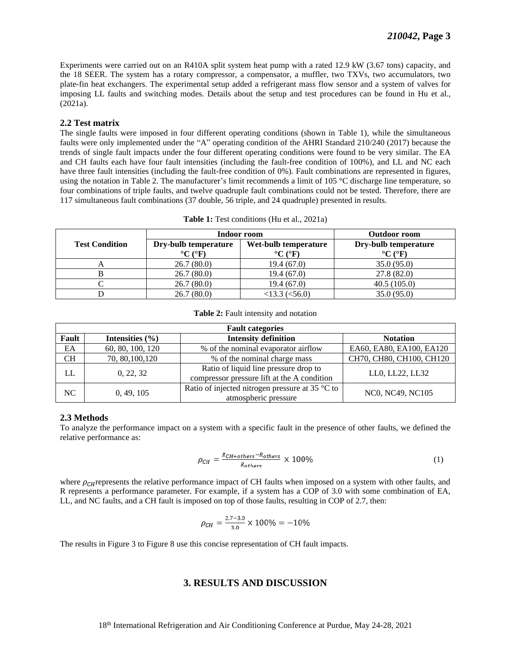Experiments were carried out on an R410A split system heat pump with a rated 12.9 kW (3.67 tons) capacity, and the 18 SEER. The system has a rotary compressor, a compensator, a muffler, two TXVs, two accumulators, two plate-fin heat exchangers. The experimental setup added a refrigerant mass flow sensor and a system of valves for imposing LL faults and switching modes. Details about the setup and test procedures can be found in Hu et al., [\(2021a\)](#page-9-9).

#### **2.2 Test matrix**

 The single faults were imposed in four different operating conditions (shown in [Table 1\)](#page-3-0), while the simultaneous faults were only implemented under the "A" operating condition of the AHRI Standard 210/240 [\(2017\)](#page-9-12) because the trends of single fault impacts under the four different operating conditions were found to be very similar. The EA and CH faults each have four fault intensities (including the fault-free condition of 100%), and LL and NC each have three fault intensities (including the fault-free condition of 0%). Fault combinations are represented in figures, using the notation in [Table 2.](#page-3-1) The manufacturer's limit recommends a limit of 105 °C discharge line temperature, so four combinations of triple faults, and twelve quadruple fault combinations could not be tested. Therefore, there are 117 simultaneous fault combinations (37 double, 56 triple, and 24 quadruple) presented in results.

<span id="page-3-0"></span>

|                       | Indoor room                                                 | <b>Outdoor room</b>                                         |                                                             |
|-----------------------|-------------------------------------------------------------|-------------------------------------------------------------|-------------------------------------------------------------|
| <b>Test Condition</b> | Dry-bulb temperature<br>$\rm ^{\circ}C$ ( $\rm ^{\circ}F$ ) | Wet-bulb temperature<br>$\rm ^{\circ}C$ ( $\rm ^{\circ}F$ ) | Dry-bulb temperature<br>$\rm ^{\circ}C$ ( $\rm ^{\circ}F$ ) |
| A                     | 26.7(80.0)                                                  | 19.4(67.0)                                                  | 35.0(95.0)                                                  |
|                       | 26.7(80.0)                                                  | 19.4(67.0)                                                  | 27.8(82.0)                                                  |
|                       | 26.7(80.0)                                                  | 19.4(67.0)                                                  | 40.5(105.0)                                                 |
|                       | 26.7(80.0)                                                  | $<$ 13.3 ( $<$ 56.0)                                        | 35.0(95.0)                                                  |

**Table 1:** Test conditions [\(Hu et al., 2021a\)](#page-9-9)

#### **Table 2:** Fault intensity and notation

<span id="page-3-1"></span>

| <b>Fault categories</b> |                     |                                                                                      |                          |  |  |
|-------------------------|---------------------|--------------------------------------------------------------------------------------|--------------------------|--|--|
| Fault                   | Intensities $(\% )$ | <b>Intensity definition</b>                                                          | <b>Notation</b>          |  |  |
| EA                      | 60, 80, 100, 120    | % of the nominal evaporator airflow                                                  | EA60, EA80, EA100, EA120 |  |  |
| <b>CH</b>               | 70, 80, 100, 120    | % of the nominal charge mass                                                         | CH70, CH80, CH100, CH120 |  |  |
| LL                      | 0, 22, 32           | Ratio of liquid line pressure drop to<br>compressor pressure lift at the A condition | LL0, LL22, LL32          |  |  |
| NC                      | 0, 49, 105          | Ratio of injected nitrogen pressure at 35 $\degree$ C to<br>atmospheric pressure     | NC0, NC49, NC105         |  |  |

#### **2.3 Methods**

 To analyze the performance impact on a system with a specific fault in the presence of other faults, we defined the relative performance as:

$$
\rho_{CH} = \frac{R_{CH+others} - R_{others}}{R_{others}} \times 100\%
$$
\n(1)

where  $\rho_{CH}$  represents the relative performance impact of CH faults when imposed on a system with other faults, and R represents a performance parameter. For example, if a system has a COP of 3.0 with some combination of EA, LL, and NC faults, and a CH fault is imposed on top of those faults, resulting in COP of 2.7, then:

$$
\rho_{CH} = \frac{2.7 - 3.0}{3.0} \times 100\% = -10\%
$$

The results in [Figure 3](#page-4-0) to [Figure 8](#page-7-0) use this concise representation of CH fault impacts.

### **3. RESULTS AND DISCUSSION**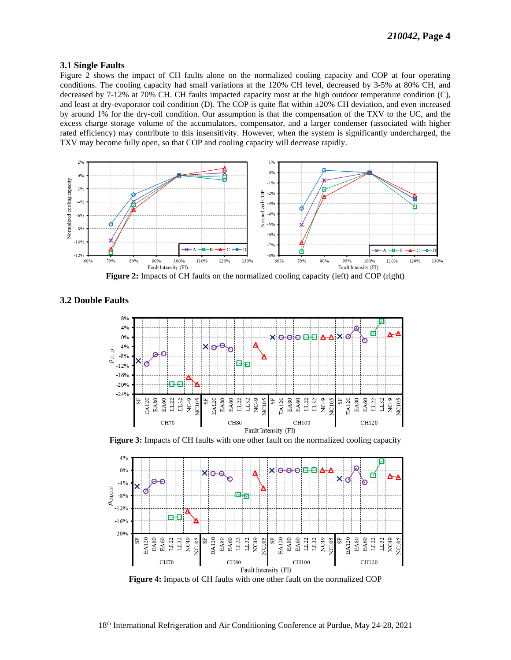#### **3.1 Single Faults**

Figure 2 shows the impact of CH faults alone on the normalized cooling capacity and COP at four operating conditions. The cooling capacity had small variations at the 120% CH level, decreased by 3-5% at 80% CH, and decreased by 7-12% at 70% CH. CH faults impacted capacity most at the high outdoor temperature condition (C), and least at dry-evaporator coil condition (D). The COP is quite flat within  $\pm 20\%$  CH deviation, and even increased by around 1% for the dry-coil condition. Our assumption is that the compensation of the TXV to the UC, and the excess charge storage volume of the accumulators, compensator, and a larger condenser (associated with higher rated efficiency) may contribute to this insensitivity. However, when the system is significantly undercharged, the TXV may become fully open, so that COP and cooling capacity will decrease rapidly.



<span id="page-4-1"></span>**3.2 Double Faults** 



<span id="page-4-0"></span>Figure 3: Impacts of CH faults with one other fault on the normalized cooling capacity



<span id="page-4-2"></span>Figure 4: Impacts of CH faults with one other fault on the normalized COP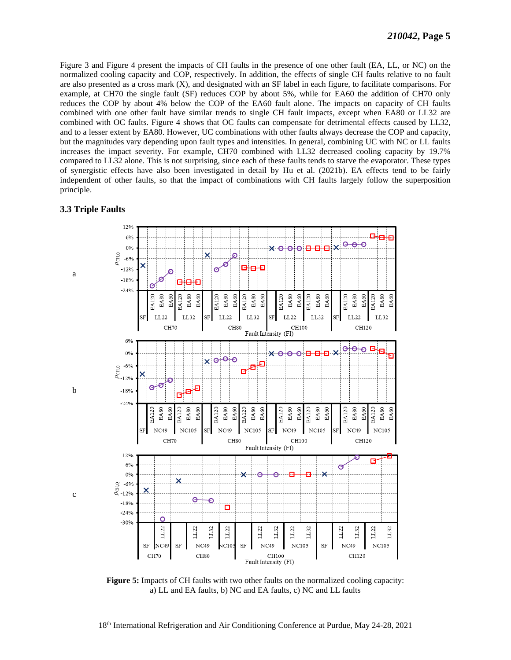Figure 3 and Figure 4 present the impacts of CH faults in the presence of one other fault (EA, LL, or NC) on the normalized cooling capacity and COP, respectively. In addition, the effects of single CH faults relative to no fault are also presented as a cross mark (X), and designated with an SF label in each figure, to facilitate comparisons. For example, at CH70 the single fault (SF) reduces COP by about 5%, while for EA60 the addition of CH70 only reduces the COP by about 4% below the COP of the EA60 fault alone. The impacts on capacity of CH faults combined with one other fault have similar trends to single CH fault impacts, except when EA80 or LL32 are combined with OC faults. Figure 4 shows that OC faults can compensate for detrimental effects caused by LL32, and to a lesser extent by EA80. However, UC combinations with other faults always decrease the COP and capacity, but the magnitudes vary depending upon fault types and intensities. In general, combining UC with NC or LL faults increases the impact severity. For example, CH70 combined with LL32 decreased cooling capacity by 19.7% compared to LL32 alone. This is not surprising, since each of these faults tends to starve the evaporator. These types of synergistic effects have also been investigated in detail by Hu et al. (2021b). EA effects tend to be fairly independent of other faults, so that the impact of combinations with CH faults largely follow the superposition principle.

#### **3.3 Triple Faults**



<span id="page-5-0"></span>**Figure 5:** Impacts of CH faults with two other faults on the normalized cooling capacity: a) LL and EA faults, b) NC and EA faults, c) NC and LL faults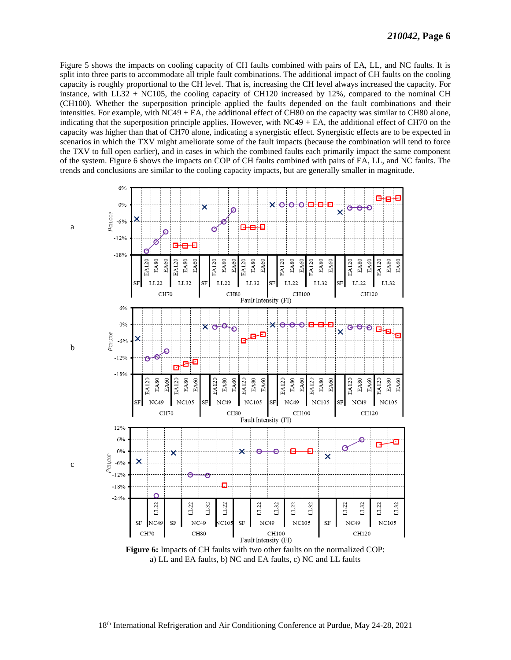Figure 5 shows the impacts on cooling capacity of CH faults combined with pairs of EA, LL, and NC faults. It is split into three parts to accommodate all triple fault combinations. The additional impact of CH faults on the cooling capacity is roughly proportional to the CH level. That is, increasing the CH level always increased the capacity. For instance, with LL32 + NC105, the cooling capacity of CH120 increased by 12%, compared to the nominal CH (CH100). Whether the superposition principle applied the faults depended on the fault combinations and their intensities. For example, with  $NC49 + EA$ , the additional effect of CH80 on the capacity was similar to CH80 alone, indicating that the superposition principle applies. However, with  $NC49 + EA$ , the additional effect of CH70 on the capacity was higher than that of CH70 alone, indicating a synergistic effect. Synergistic effects are to be expected in scenarios in which the TXV might ameliorate some of the fault impacts (because the combination will tend to force the TXV to full open earlier), and in cases in which the combined faults each primarily impact the same component of the system. Figure 6 shows the impacts on COP of CH faults combined with pairs of EA, LL, and NC faults. The trends and conclusions are similar to the cooling capacity impacts, but are generally smaller in magnitude.



<span id="page-6-0"></span>a) LL and EA faults, b) NC and EA faults, c) NC and LL faults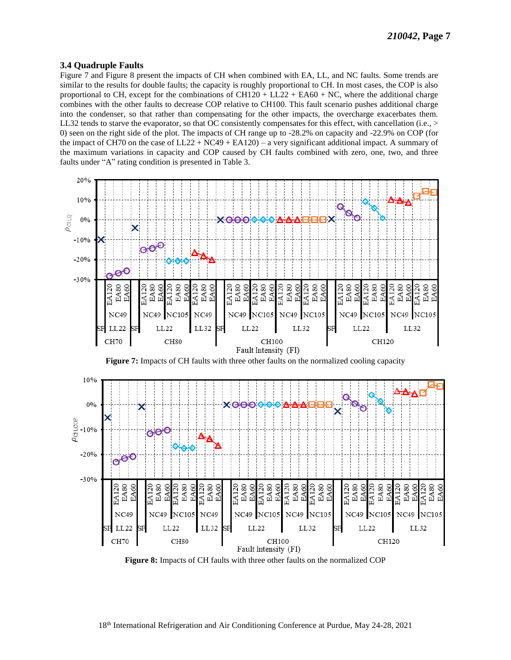#### **3.4 Ouadruple Faults**

Figure 7 and Figure 8 present the impacts of CH when combined with EA, LL, and NC faults. Some trends are similar to the results for double faults; the capacity is roughly proportional to CH. In most cases, the COP is also proportional to CH, except for the combinations of CH120 + LL22 + EA60 + NC, where the additional charge combines with the other faults to decrease COP relative to CH100. This fault scenario pushes additional charge into the condenser, so that rather than compensating for the other impacts, the overcharge exacerbates them. LL32 tends to starve the evaporator, so that OC consistently compensates for this effect, with cancellation (i.e.,  $>$ 0) seen on the right side of the plot. The impacts of CH range up to -28.2% on capacity and -22.9% on COP (for the impact of CH70 on the case of  $LL22 + NC49 + EA120$  – a very significant additional impact. A summary of the maximum variations in capacity and COP caused by CH faults combined with zero, one, two, and three faults under "A" rating condition is presented in Table 3.

<span id="page-7-1"></span>

<span id="page-7-0"></span>Figure 8: Impacts of CH faults with three other faults on the normalized COP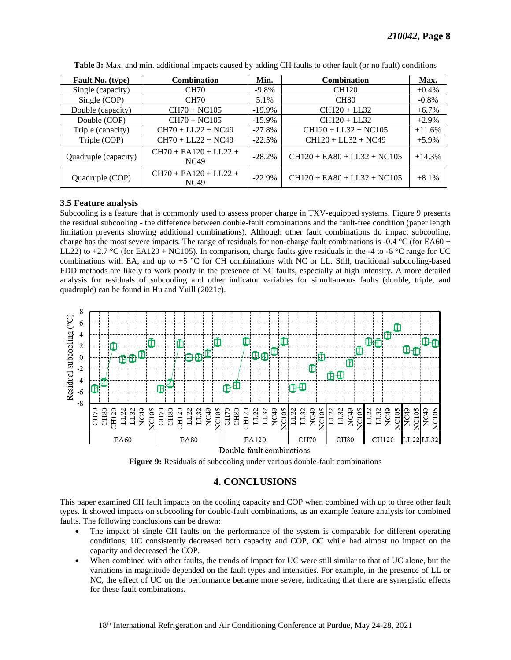<span id="page-8-0"></span>

| Fault No. (type)     | <b>Combination</b>                     | Min.      | <b>Combination</b>            | Max.     |
|----------------------|----------------------------------------|-----------|-------------------------------|----------|
| Single (capacity)    | <b>CH70</b>                            | $-9.8\%$  | CH120                         | $+0.4\%$ |
| Single (COP)         | <b>CH70</b>                            | 5.1%      | CH <sub>80</sub>              | $-0.8\%$ |
| Double (capacity)    | $CH70 + NC105$                         | $-19.9\%$ | $CH120 + LL32$                | $+6.7\%$ |
| Double (COP)         | $CH70 + NC105$                         | $-15.9\%$ | $CH120 + LL32$                | $+2.9\%$ |
| Triple (capacity)    | $CH70 + LL22 + NC49$                   | $-27.8%$  | $CH120 + LL32 + NC105$        | $+11.6%$ |
| Triple (COP)         | $CH70 + LL22 + NC49$                   | $-22.5%$  | $CH120 + LL32 + NC49$         | $+5.9\%$ |
| Quadruple (capacity) | $CH70 + EA120 + LL22 +$<br><b>NC49</b> | $-28.2%$  | $CH120 + EAS0 + LL32 + NC105$ | $+14.3%$ |
| Quadruple (COP)      | $CH70 + EA120 + LL22 +$<br>NC49        | $-22.9%$  | $CH120 + EAS0 + LL32 + NC105$ | $+8.1%$  |

Table 3: Max. and min. additional impacts caused by adding CH faults to other fault (or no fault) conditions

#### 3.5 Feature analysis

Subcooling is a feature that is commonly used to assess proper charge in TXV-equipped systems. Figure 9 presents the residual subcooling - the difference between double-fault combinations and the fault-free condition (paper length limitation prevents showing additional combinations). Although other fault combinations do impact subcooling, charge has the most severe impacts. The range of residuals for non-charge fault combinations is -0.4  $\degree$ C (for EA60 + LL22) to +2.7 °C (for EA120 + NC105). In comparison, charge faults give residuals in the -4 to -6 °C range for UC combinations with EA, and up to +5 °C for CH combinations with NC or LL. Still, traditional subcooling-based FDD methods are likely to work poorly in the presence of NC faults, especially at high intensity. A more detailed analysis for residuals of subcooling and other indicator variables for simultaneous faults (double, triple, and quadruple) can be found in Hu and Yuill (2021c).





# **4. CONCLUSIONS**

<span id="page-8-1"></span>This paper examined CH fault impacts on the cooling capacity and COP when combined with up to three other fault types. It showed impacts on subcooling for double-fault combinations, as an example feature analysis for combined faults. The following conclusions can be drawn:

- The impact of single CH faults on the performance of the system is comparable for different operating conditions; UC consistently decreased both capacity and COP, OC while had almost no impact on the capacity and decreased the COP.
- When combined with other faults, the trends of impact for UC were still similar to that of UC alone, but the variations in magnitude depended on the fault types and intensities. For example, in the presence of LL or NC, the effect of UC on the performance became more severe, indicating that there are synergistic effects for these fault combinations.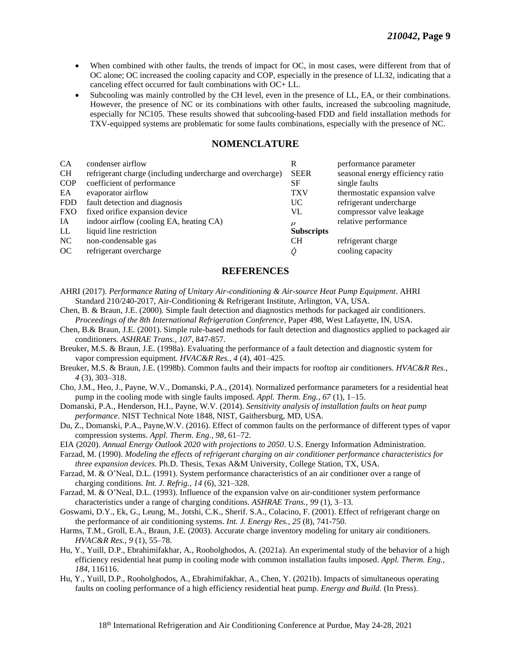- • When combined with other faults, the trends of impact for OC, in most cases, were different from that of OC alone; OC increased the cooling capacity and COP, especially in the presence of LL32, indicating that a canceling effect occurred for fault combinations with OC+ LL.
- • Subcooling was mainly controlled by the CH level, even in the presence of LL, EA, or their combinations. However, the presence of NC or its combinations with other faults, increased the subcooling magnitude, especially for NC105. These results showed that subcooling-based FDD and field installation methods for TXV-equipped systems are problematic for some faults combinations, especially with the presence of NC.

# **NOMENCLATURE**

| condenser airflow                                         | R                 | performance parameter            |
|-----------------------------------------------------------|-------------------|----------------------------------|
| refrigerant charge (including undercharge and overcharge) | <b>SEER</b>       | seasonal energy efficiency ratio |
| coefficient of performance                                | SF                | single faults                    |
| evaporator airflow                                        | <b>TXV</b>        | thermostatic expansion valve     |
| fault detection and diagnosis                             | UC.               | refrigerant undercharge          |
| fixed orifice expansion device                            | VL                | compressor valve leakage         |
| indoor airflow (cooling EA, heating CA)                   | Ο                 | relative performance             |
| liquid line restriction                                   | <b>Subscripts</b> |                                  |
| non-condensable gas                                       | <b>CH</b>         | refrigerant charge               |
| refrigerant overcharge                                    |                   | cooling capacity                 |
|                                                           |                   |                                  |

# **REFERENCES**

- <span id="page-9-12"></span> AHRI (2017). *Performance Rating of Unitary Air-conditioning & Air-source Heat Pump Equipment*. AHRI Standard 210/240-2017, Air-Conditioning & Refrigerant Institute, Arlington, VA, USA.
- <span id="page-9-5"></span> Chen, B. & Braun, J.E. (2000). Simple fault detection and diagnostics methods for packaged air conditioners.  *Proceedings of the 8th International Refrigeration Conference*, Paper 498, West Lafayette, IN, USA.
- <span id="page-9-6"></span> [Chen, B.& Braun, J.E. \(2001\). Simple rule-based methods for fault detection and diagnostics applied to packaged air](https://www.semanticscholar.org/paper/Simple-Rule-Based-Methods-for-Fault-Detection-and-Chen-Braun/b6c8e8d34d9aab6d6a3da93434a6f8b913b2a2e6)  conditioners. *[ASHRAE Trans., 107](https://www.semanticscholar.org/paper/Simple-Rule-Based-Methods-for-Fault-Detection-and-Chen-Braun/b6c8e8d34d9aab6d6a3da93434a6f8b913b2a2e6)*, 847-857.
- <span id="page-9-3"></span> Breuker, M.S. & Braun, J.E. (1998a). Evaluating the performance of a fault detection and diagnostic system for vapor compression equipment. *HVAC&R Res., 4* (4), 401–425.
- <span id="page-9-4"></span> Breuker, M.S. & Braun, J.E. (1998b). Common faults and their impacts for rooftop air conditioners. *HVAC&R Res., 4* (3), 303–318.
- <span id="page-9-10"></span> Cho, J.M., Heo, J., Payne, W.V., Domanski, P.A., (2014). Normalized performance parameters for a residential heat pump in the cooling mode with single faults imposed. *Appl. Therm. Eng., 67* (1), 1–15.
- <span id="page-9-11"></span> Domanski, P.A., Henderson, H.I., Payne, W.V. (2014). *Sensitivity analysis of installation faults on heat pump performance*. NIST Technical Note 1848, NIST, Gaithersburg, MD, USA.
- Du, Z., Domanski, P.A., Payne,W.V. (2016). Effect of common faults on the performance of different types of vapor compression systems. *Appl. Therm. Eng., 98*, 61–72.

 EIA (2020). *Annual Energy Outlook 2020 with projections to 2050*. U.S. Energy Information Administration.

<span id="page-9-0"></span> Farzad, M. (1990). *Modeling the effects of refrigerant charging on air conditioner performance characteristics for three expansion devices*. Ph.D. Thesis, Texas A&M University, College Station, TX, USA.

<span id="page-9-1"></span> Farzad, M. & O'Neal, D.L. (1991). System performance characteristics of an air conditioner over a range of charging conditions. *Int. J. Refrig., 14* (6), 321–328.

<span id="page-9-2"></span> Farzad, M. & O'Neal, D.L. (1993). Influence of the expansion valve on air-conditioner system performance characteristics under a range of charging conditions. *ASHRAE Trans., 99* (1), 3–13.

<span id="page-9-7"></span> Goswami, D.Y., Ek, G., Leung, M., Jotshi, C.K., Sherif. S.A., Colacino, F. (2001). Effect of refrigerant charge on the performance of air conditioning systems. *Int. J. Energy Res., 25* (8), 741-750.

- <span id="page-9-8"></span> Harms, T.M., Groll, E.A., Braun, J.E. (2003). Accurate charge inventory modeling for unitary air conditioners. *HVAC&R Res., 9* (1), 55–78.
- <span id="page-9-9"></span> [Hu, Y., Yuill, D.P., Ebrahimifakhar, A., Rooholghodos, A. \(2021a\). An experimental study of the behavior of a high](https://doi.org/10.1016/j.applthermaleng.2020.116116)  [efficiency residential heat pump in cooling mode with common installation faults imposed.](https://doi.org/10.1016/j.applthermaleng.2020.116116) *Appl. Therm. Eng., 184*, 116116.
- <span id="page-9-13"></span> Hu, Y., Yuill, D.P., Rooholghodos, A., Ebrahimifakhar, A., Chen, Y. (2021b). Impacts of simultaneous operating faults on cooling performance of a high efficiency residential heat pump. *Energy and Build.* (In Press).